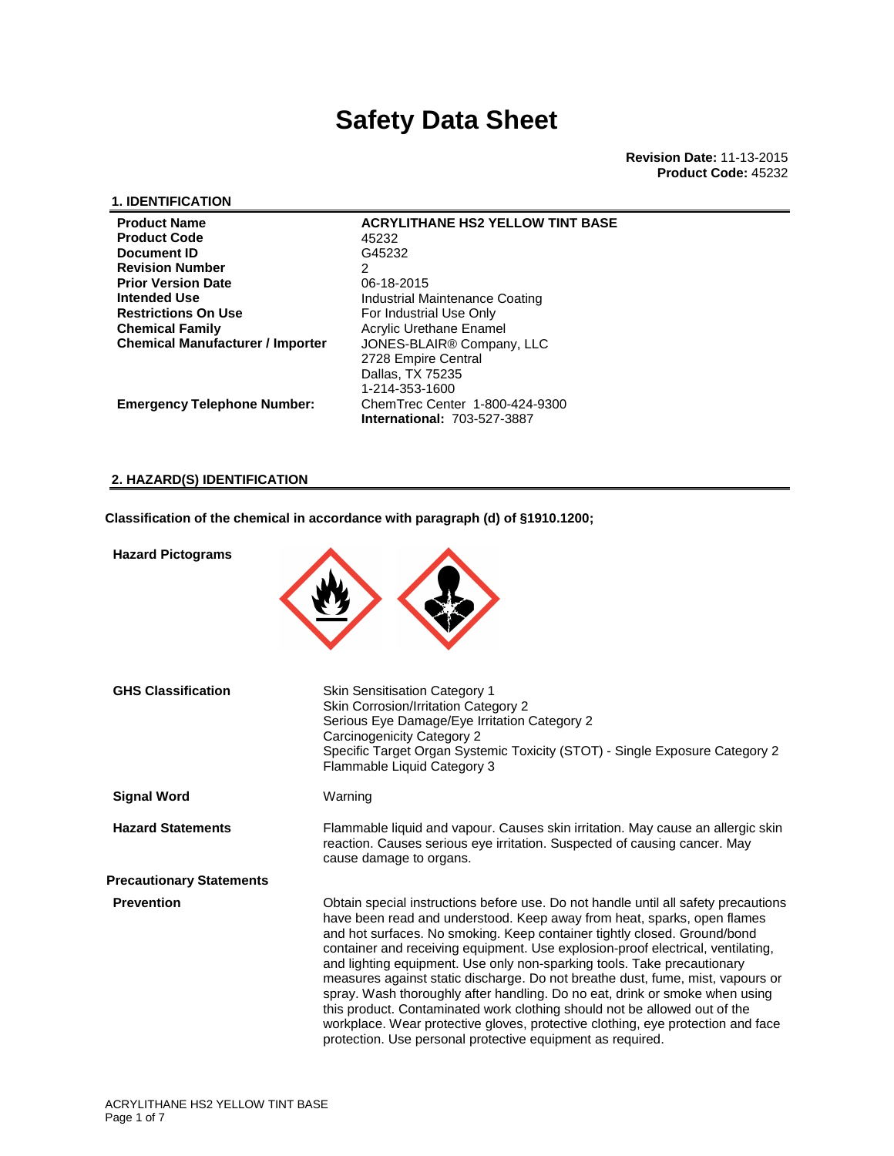### **1. IDENTIFICATION**

| <b>Product Name</b>                     | <b>ACRYLITHANE HS2 YELLOW TINT BASE</b> |
|-----------------------------------------|-----------------------------------------|
| <b>Product Code</b>                     | 45232                                   |
| Document ID                             | G45232                                  |
| <b>Revision Number</b>                  | 2                                       |
| <b>Prior Version Date</b>               | 06-18-2015                              |
| <b>Intended Use</b>                     | Industrial Maintenance Coating          |
| <b>Restrictions On Use</b>              | For Industrial Use Only                 |
| <b>Chemical Family</b>                  | Acrylic Urethane Enamel                 |
| <b>Chemical Manufacturer / Importer</b> | JONES-BLAIR <sup>®</sup> Company, LLC   |
|                                         | 2728 Empire Central                     |
|                                         | Dallas, TX 75235                        |
|                                         | 1-214-353-1600                          |
| <b>Emergency Telephone Number:</b>      | ChemTrec Center 1-800-424-9300          |
|                                         | <b>International: 703-527-3887</b>      |

**2. HAZARD(S) IDENTIFICATION**

**Classification of the chemical in accordance with paragraph (d) of §1910.1200;** 

| <b>Hazard Pictograms</b>        |                                                                                                                                                                                                                                                                                                                                                                                                                                                                                                                                                                                                                                                                                                                                                                                                        |
|---------------------------------|--------------------------------------------------------------------------------------------------------------------------------------------------------------------------------------------------------------------------------------------------------------------------------------------------------------------------------------------------------------------------------------------------------------------------------------------------------------------------------------------------------------------------------------------------------------------------------------------------------------------------------------------------------------------------------------------------------------------------------------------------------------------------------------------------------|
| <b>GHS Classification</b>       | Skin Sensitisation Category 1<br>Skin Corrosion/Irritation Category 2<br>Serious Eye Damage/Eye Irritation Category 2<br>Carcinogenicity Category 2<br>Specific Target Organ Systemic Toxicity (STOT) - Single Exposure Category 2<br>Flammable Liquid Category 3                                                                                                                                                                                                                                                                                                                                                                                                                                                                                                                                      |
| <b>Signal Word</b>              | Warning                                                                                                                                                                                                                                                                                                                                                                                                                                                                                                                                                                                                                                                                                                                                                                                                |
| <b>Hazard Statements</b>        | Flammable liquid and vapour. Causes skin irritation. May cause an allergic skin<br>reaction. Causes serious eye irritation. Suspected of causing cancer. May<br>cause damage to organs.                                                                                                                                                                                                                                                                                                                                                                                                                                                                                                                                                                                                                |
| <b>Precautionary Statements</b> |                                                                                                                                                                                                                                                                                                                                                                                                                                                                                                                                                                                                                                                                                                                                                                                                        |
| <b>Prevention</b>               | Obtain special instructions before use. Do not handle until all safety precautions<br>have been read and understood. Keep away from heat, sparks, open flames<br>and hot surfaces. No smoking. Keep container tightly closed. Ground/bond<br>container and receiving equipment. Use explosion-proof electrical, ventilating,<br>and lighting equipment. Use only non-sparking tools. Take precautionary<br>measures against static discharge. Do not breathe dust, fume, mist, vapours or<br>spray. Wash thoroughly after handling. Do no eat, drink or smoke when using<br>this product. Contaminated work clothing should not be allowed out of the<br>workplace. Wear protective gloves, protective clothing, eye protection and face<br>protection. Use personal protective equipment as required. |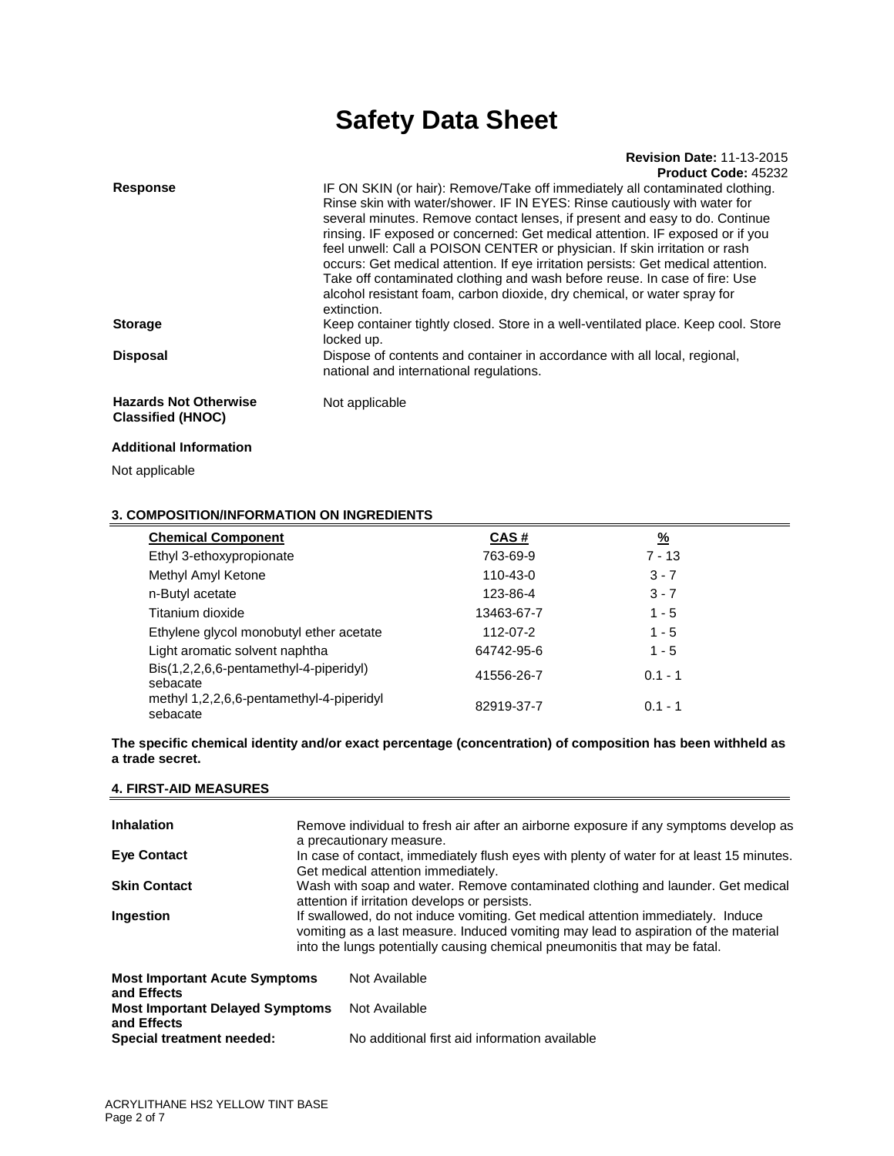### **Revision Date:** 11-13-2015 **Product Code:** 45232

| <b>Response</b>                                          | IF ON SKIN (or hair): Remove/Take off immediately all contaminated clothing.<br>Rinse skin with water/shower. IF IN EYES: Rinse cautiously with water for<br>several minutes. Remove contact lenses, if present and easy to do. Continue<br>rinsing. IF exposed or concerned: Get medical attention. IF exposed or if you<br>feel unwell: Call a POISON CENTER or physician. If skin irritation or rash<br>occurs: Get medical attention. If eye irritation persists: Get medical attention.<br>Take off contaminated clothing and wash before reuse. In case of fire: Use<br>alcohol resistant foam, carbon dioxide, dry chemical, or water spray for<br>extinction. |
|----------------------------------------------------------|-----------------------------------------------------------------------------------------------------------------------------------------------------------------------------------------------------------------------------------------------------------------------------------------------------------------------------------------------------------------------------------------------------------------------------------------------------------------------------------------------------------------------------------------------------------------------------------------------------------------------------------------------------------------------|
| <b>Storage</b>                                           | Keep container tightly closed. Store in a well-ventilated place. Keep cool. Store<br>locked up.                                                                                                                                                                                                                                                                                                                                                                                                                                                                                                                                                                       |
| <b>Disposal</b>                                          | Dispose of contents and container in accordance with all local, regional,<br>national and international regulations.                                                                                                                                                                                                                                                                                                                                                                                                                                                                                                                                                  |
| <b>Hazards Not Otherwise</b><br><b>Classified (HNOC)</b> | Not applicable                                                                                                                                                                                                                                                                                                                                                                                                                                                                                                                                                                                                                                                        |

### **Additional Information**

Not applicable

### **3. COMPOSITION/INFORMATION ON INGREDIENTS**

| <b>Chemical Component</b>                            | CAS#       | $\frac{9}{6}$ |  |
|------------------------------------------------------|------------|---------------|--|
| Ethyl 3-ethoxypropionate                             | 763-69-9   | $7 - 13$      |  |
| Methyl Amyl Ketone                                   | 110-43-0   | $3 - 7$       |  |
| n-Butyl acetate                                      | 123-86-4   | $3 - 7$       |  |
| Titanium dioxide                                     | 13463-67-7 | $1 - 5$       |  |
| Ethylene glycol monobutyl ether acetate              | 112-07-2   | $1 - 5$       |  |
| Light aromatic solvent naphtha                       | 64742-95-6 | $1 - 5$       |  |
| Bis(1,2,2,6,6-pentamethyl-4-piperidyl)<br>sebacate   | 41556-26-7 | $0.1 - 1$     |  |
| methyl 1,2,2,6,6-pentamethyl-4-piperidyl<br>sebacate | 82919-37-7 | $0.1 - 1$     |  |

**The specific chemical identity and/or exact percentage (concentration) of composition has been withheld as a trade secret.** 

### **4. FIRST-AID MEASURES**

| <b>Inhalation</b>                                     | Remove individual to fresh air after an airborne exposure if any symptoms develop as                                                                                                                                                                 |                                                                                                                                  |  |  |
|-------------------------------------------------------|------------------------------------------------------------------------------------------------------------------------------------------------------------------------------------------------------------------------------------------------------|----------------------------------------------------------------------------------------------------------------------------------|--|--|
|                                                       | a precautionary measure.                                                                                                                                                                                                                             |                                                                                                                                  |  |  |
| <b>Eve Contact</b>                                    | In case of contact, immediately flush eyes with plenty of water for at least 15 minutes.                                                                                                                                                             |                                                                                                                                  |  |  |
|                                                       |                                                                                                                                                                                                                                                      | Get medical attention immediately.                                                                                               |  |  |
| <b>Skin Contact</b>                                   |                                                                                                                                                                                                                                                      | Wash with soap and water. Remove contaminated clothing and launder. Get medical<br>attention if irritation develops or persists. |  |  |
|                                                       |                                                                                                                                                                                                                                                      |                                                                                                                                  |  |  |
| Ingestion                                             | If swallowed, do not induce vomiting. Get medical attention immediately. Induce<br>vomiting as a last measure. Induced vomiting may lead to aspiration of the material<br>into the lungs potentially causing chemical pneumonitis that may be fatal. |                                                                                                                                  |  |  |
|                                                       |                                                                                                                                                                                                                                                      |                                                                                                                                  |  |  |
| <b>Most Important Acute Symptoms</b><br>and Effects   |                                                                                                                                                                                                                                                      | Not Available                                                                                                                    |  |  |
| <b>Most Important Delayed Symptoms</b><br>and Effects |                                                                                                                                                                                                                                                      | Not Available                                                                                                                    |  |  |
| Special treatment needed:                             |                                                                                                                                                                                                                                                      | No additional first aid information available                                                                                    |  |  |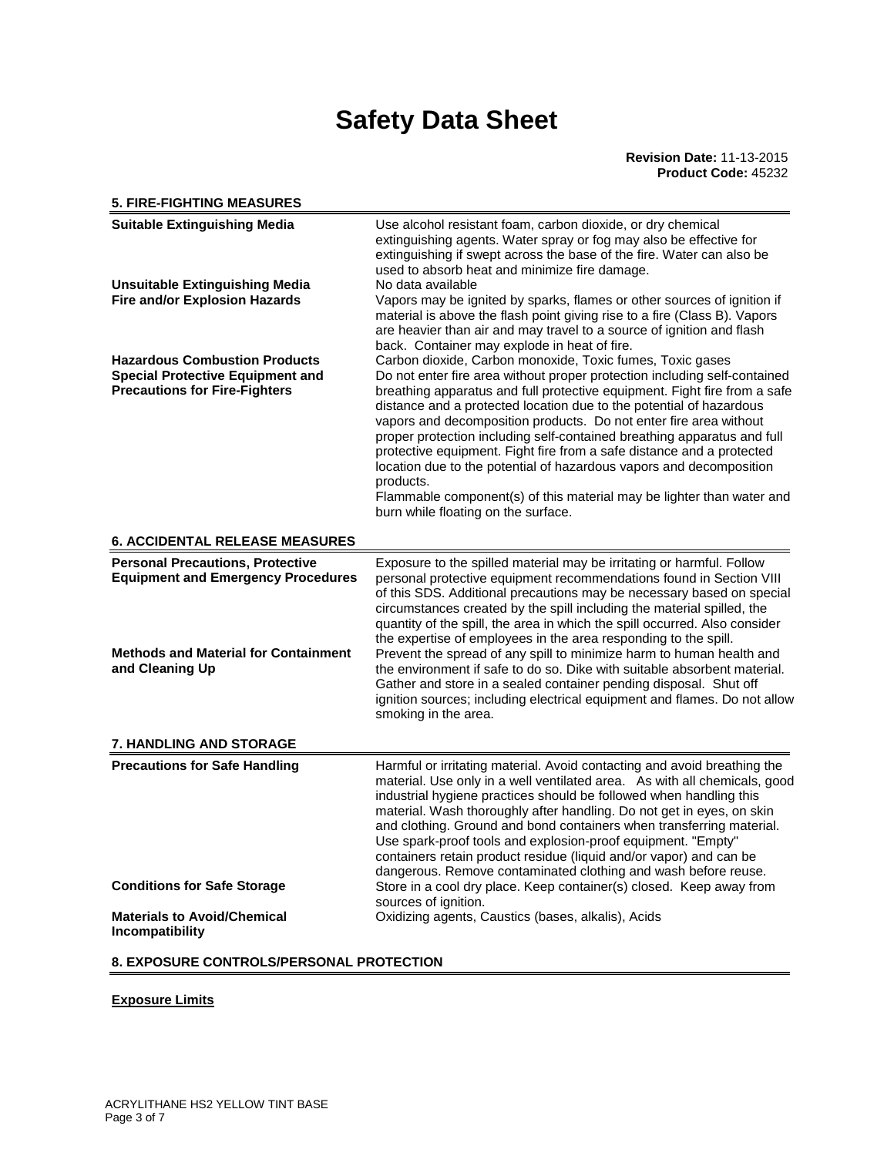### **5. FIRE-FIGHTING MEASURES Suitable Extinguishing Media** Use alcohol resistant foam, carbon dioxide, or dry chemical extinguishing agents. Water spray or fog may also be effective for extinguishing if swept across the base of the fire. Water can also be used to absorb heat and minimize fire damage. **Unsuitable Extinguishing Media** No data available **Fire and/or Explosion Hazards Vapors may be ignited by sparks, flames or other sources of ignition if** material is above the flash point giving rise to a fire (Class B). Vapors are heavier than air and may travel to a source of ignition and flash back. Container may explode in heat of fire. Hazardous Combustion Products **Carbon dioxide, Carbon monoxide, Toxic fumes**, Toxic gases **Special Protective Equipment and Precautions for Fire-Fighters**  Do not enter fire area without proper protection including self-contained breathing apparatus and full protective equipment. Fight fire from a safe distance and a protected location due to the potential of hazardous vapors and decomposition products. Do not enter fire area without proper protection including self-contained breathing apparatus and full protective equipment. Fight fire from a safe distance and a protected location due to the potential of hazardous vapors and decomposition products. Flammable component(s) of this material may be lighter than water and burn while floating on the surface. **6. ACCIDENTAL RELEASE MEASURES Personal Precautions, Protective Equipment and Emergency Procedures**  Exposure to the spilled material may be irritating or harmful. Follow personal protective equipment recommendations found in Section VIII of this SDS. Additional precautions may be necessary based on special circumstances created by the spill including the material spilled, the quantity of the spill, the area in which the spill occurred. Also consider the expertise of employees in the area responding to the spill. **Methods and Material for Containment and Cleaning Up**  Prevent the spread of any spill to minimize harm to human health and the environment if safe to do so. Dike with suitable absorbent material. Gather and store in a sealed container pending disposal. Shut off ignition sources; including electrical equipment and flames. Do not allow smoking in the area. **7. HANDLING AND STORAGE Precautions for Safe Handling <b>Handli**ng **Harmful or irritating material. Avoid contacting and avoid breathing the** material. Use only in a well ventilated area. As with all chemicals, good industrial hygiene practices should be followed when handling this material. Wash thoroughly after handling. Do not get in eyes, on skin and clothing. Ground and bond containers when transferring material. Use spark-proof tools and explosion-proof equipment. "Empty" containers retain product residue (liquid and/or vapor) and can be dangerous. Remove contaminated clothing and wash before reuse. **Conditions for Safe Storage Store in a cool dry place. Keep container(s) closed. Keep away from** sources of ignition. **Materials to Avoid/Chemical Incompatibility**  Oxidizing agents, Caustics (bases, alkalis), Acids

### **8. EXPOSURE CONTROLS/PERSONAL PROTECTION**

### **Exposure Limits**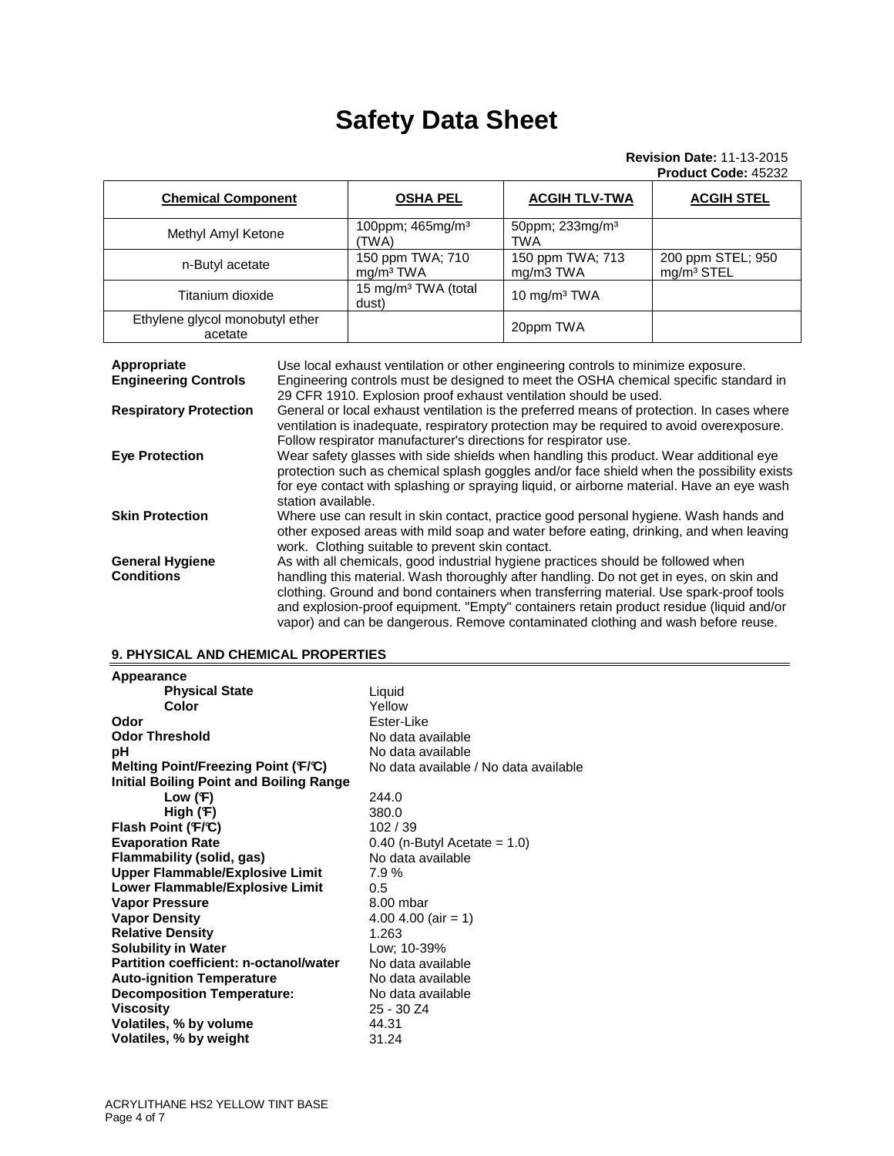### **Revision Date:** 11-13-2015 **Product Code:** 45232

| <b>Chemical Component</b>                  | <b>OSHA PEL</b>                           | <b>ACGIH TLV-TWA</b>               | <b>ACGIH STEL</b>                           |
|--------------------------------------------|-------------------------------------------|------------------------------------|---------------------------------------------|
| Methyl Amyl Ketone                         | 100ppm; 465mg/m <sup>3</sup><br>'TWA)     | 50ppm; 233mg/m <sup>3</sup><br>TWA |                                             |
| n-Butyl acetate                            | 150 ppm TWA; 710<br>mq/m <sup>3</sup> TWA | 150 ppm TWA; 713<br>mg/m3 TWA      | 200 ppm STEL; 950<br>mg/m <sup>3</sup> STEL |
| Titanium dioxide                           | 15 mg/m <sup>3</sup> TWA (total<br>dust)  | 10 mg/m <sup>3</sup> TWA           |                                             |
| Ethylene glycol monobutyl ether<br>acetate |                                           | 20ppm TWA                          |                                             |

| Appropriate<br><b>Engineering Controls</b>  | Use local exhaust ventilation or other engineering controls to minimize exposure.<br>Engineering controls must be designed to meet the OSHA chemical specific standard in<br>29 CFR 1910. Explosion proof exhaust ventilation should be used.                                                                                                                                                                                                        |
|---------------------------------------------|------------------------------------------------------------------------------------------------------------------------------------------------------------------------------------------------------------------------------------------------------------------------------------------------------------------------------------------------------------------------------------------------------------------------------------------------------|
| <b>Respiratory Protection</b>               | General or local exhaust ventilation is the preferred means of protection. In cases where<br>ventilation is inadequate, respiratory protection may be required to avoid overexposure.<br>Follow respirator manufacturer's directions for respirator use.                                                                                                                                                                                             |
| <b>Eye Protection</b>                       | Wear safety glasses with side shields when handling this product. Wear additional eye<br>protection such as chemical splash goggles and/or face shield when the possibility exists<br>for eye contact with splashing or spraying liquid, or airborne material. Have an eye wash<br>station available.                                                                                                                                                |
| <b>Skin Protection</b>                      | Where use can result in skin contact, practice good personal hygiene. Wash hands and<br>other exposed areas with mild soap and water before eating, drinking, and when leaving<br>work. Clothing suitable to prevent skin contact.                                                                                                                                                                                                                   |
| <b>General Hygiene</b><br><b>Conditions</b> | As with all chemicals, good industrial hygiene practices should be followed when<br>handling this material. Wash thoroughly after handling. Do not get in eyes, on skin and<br>clothing. Ground and bond containers when transferring material. Use spark-proof tools<br>and explosion-proof equipment. "Empty" containers retain product residue (liquid and/or<br>vapor) and can be dangerous. Remove contaminated clothing and wash before reuse. |

### **9. PHYSICAL AND CHEMICAL PROPERTIES**

| <b>Physical State</b><br>Liquid<br>Color<br>Yellow<br>Ester-Like<br>Odor<br><b>Odor Threshold</b><br>No data available<br>рH<br>No data available<br>Melting Point/Freezing Point (F/C)<br>No data available / No data available<br><b>Initial Boiling Point and Boiling Range</b><br>Low $(F)$<br>244.0<br>High $(F)$<br>380.0<br>Flash Point (F/C)<br>102/39<br><b>Evaporation Rate</b><br>$0.40$ (n-Butyl Acetate = 1.0)<br>Flammability (solid, gas)<br>No data available<br><b>Upper Flammable/Explosive Limit</b><br>7.9%<br>Lower Flammable/Explosive Limit<br>0.5 |
|---------------------------------------------------------------------------------------------------------------------------------------------------------------------------------------------------------------------------------------------------------------------------------------------------------------------------------------------------------------------------------------------------------------------------------------------------------------------------------------------------------------------------------------------------------------------------|
|                                                                                                                                                                                                                                                                                                                                                                                                                                                                                                                                                                           |
|                                                                                                                                                                                                                                                                                                                                                                                                                                                                                                                                                                           |
|                                                                                                                                                                                                                                                                                                                                                                                                                                                                                                                                                                           |
|                                                                                                                                                                                                                                                                                                                                                                                                                                                                                                                                                                           |
|                                                                                                                                                                                                                                                                                                                                                                                                                                                                                                                                                                           |
|                                                                                                                                                                                                                                                                                                                                                                                                                                                                                                                                                                           |
|                                                                                                                                                                                                                                                                                                                                                                                                                                                                                                                                                                           |
|                                                                                                                                                                                                                                                                                                                                                                                                                                                                                                                                                                           |
|                                                                                                                                                                                                                                                                                                                                                                                                                                                                                                                                                                           |
|                                                                                                                                                                                                                                                                                                                                                                                                                                                                                                                                                                           |
|                                                                                                                                                                                                                                                                                                                                                                                                                                                                                                                                                                           |
|                                                                                                                                                                                                                                                                                                                                                                                                                                                                                                                                                                           |
|                                                                                                                                                                                                                                                                                                                                                                                                                                                                                                                                                                           |
|                                                                                                                                                                                                                                                                                                                                                                                                                                                                                                                                                                           |
| <b>Vapor Pressure</b><br>8.00 mbar                                                                                                                                                                                                                                                                                                                                                                                                                                                                                                                                        |
| <b>Vapor Density</b><br>4.00 4.00 (air = 1)                                                                                                                                                                                                                                                                                                                                                                                                                                                                                                                               |
| <b>Relative Density</b><br>1.263                                                                                                                                                                                                                                                                                                                                                                                                                                                                                                                                          |
| <b>Solubility in Water</b><br>Low; 10-39%                                                                                                                                                                                                                                                                                                                                                                                                                                                                                                                                 |
| Partition coefficient: n-octanol/water<br>No data available                                                                                                                                                                                                                                                                                                                                                                                                                                                                                                               |
| <b>Auto-ignition Temperature</b><br>No data available                                                                                                                                                                                                                                                                                                                                                                                                                                                                                                                     |
| <b>Decomposition Temperature:</b><br>No data available                                                                                                                                                                                                                                                                                                                                                                                                                                                                                                                    |
| <b>Viscosity</b><br>25 - 30 Z4                                                                                                                                                                                                                                                                                                                                                                                                                                                                                                                                            |
| Volatiles, % by volume<br>44.31                                                                                                                                                                                                                                                                                                                                                                                                                                                                                                                                           |
| Volatiles, % by weight<br>31.24                                                                                                                                                                                                                                                                                                                                                                                                                                                                                                                                           |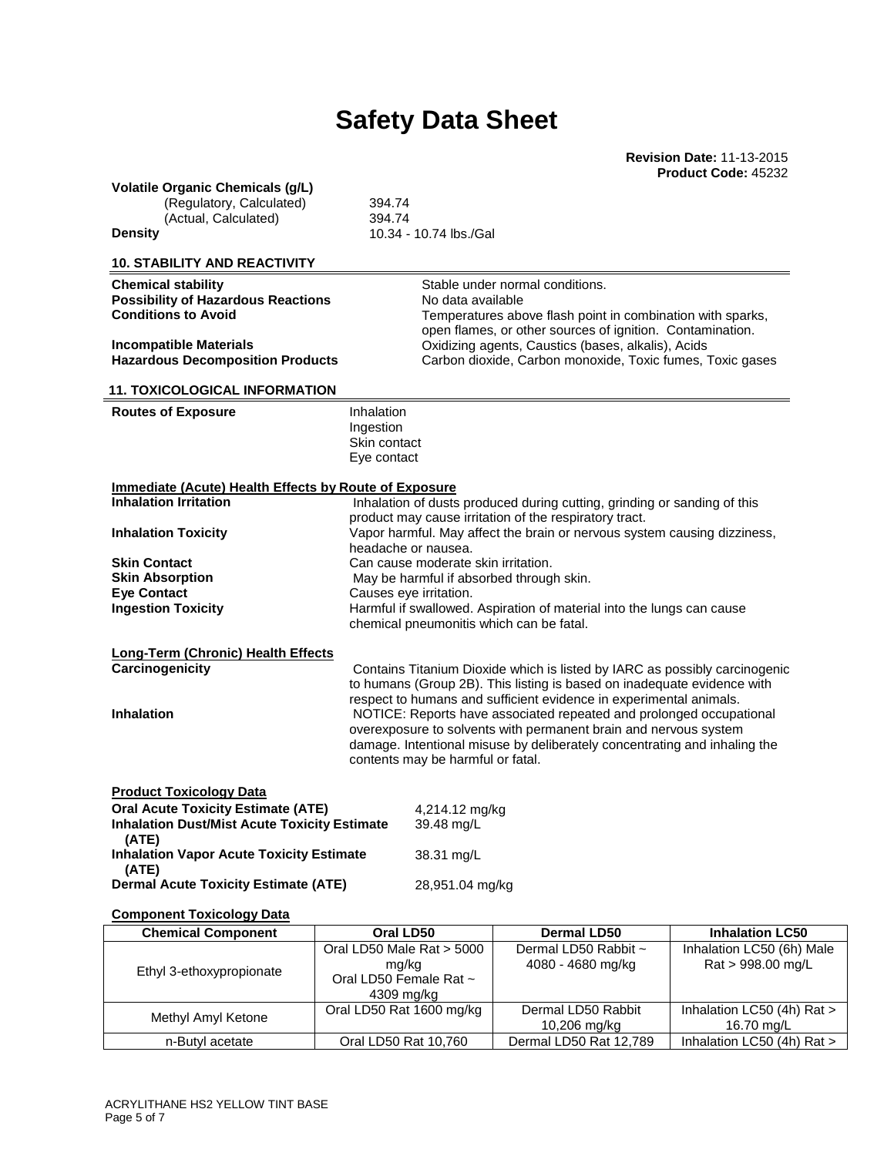**Revision Date:** 11-13-2015 **Product Code:** 45232

### **Volatile Organic Chemicals (g/L)**

(Regulatory, Calculated) 394.74 (Actual, Calculated) 394.74 **Density 10.34 - 10.74 lbs./Gal** 

### **10. STABILITY AND REACTIVITY**

**Chemical stability Stable under normal conditions. Possibility of Hazardous Reactions** No data available

**Conditions to Avoid Temperatures above flash point in combination with sparks,** open flames, or other sources of ignition. Contamination. **Incompatible Materials** <br> **Incompatible Materials** *Decomposition Products**Carbon dioxide, Carbon monoxide, Toxic fumes, 1***<br>
Carbon dioxide, Carbon monoxide, Toxic fumes, 1** Carbon dioxide, Carbon monoxide, Toxic fumes, Toxic gases

damage. Intentional misuse by deliberately concentrating and inhaling the

### **11. TOXICOLOGICAL INFORMATION**

### **Routes of Exposure Inhalation**

Ingestion Skin contact Eye contact

### **Immediate (Acute) Health Effects by Route of Exposure**

| <b>Inhalation Irritation</b>       | Inhalation of dusts produced during cutting, grinding or sanding of this<br>product may cause irritation of the respiratory tract.                                                                            |
|------------------------------------|---------------------------------------------------------------------------------------------------------------------------------------------------------------------------------------------------------------|
| <b>Inhalation Toxicity</b>         | Vapor harmful. May affect the brain or nervous system causing dizziness,<br>headache or nausea.                                                                                                               |
| <b>Skin Contact</b>                | Can cause moderate skin irritation.                                                                                                                                                                           |
| <b>Skin Absorption</b>             | May be harmful if absorbed through skin.                                                                                                                                                                      |
| <b>Eve Contact</b>                 | Causes eye irritation.                                                                                                                                                                                        |
| <b>Ingestion Toxicity</b>          | Harmful if swallowed. Aspiration of material into the lungs can cause<br>chemical pneumonitis which can be fatal.                                                                                             |
| Long-Term (Chronic) Health Effects |                                                                                                                                                                                                               |
| Carcinogenicity                    | Contains Titanium Dioxide which is listed by IARC as possibly carcinogenic<br>to humans (Group 2B). This listing is based on inadequate evidence with                                                         |
| <b>Inhalation</b>                  | respect to humans and sufficient evidence in experimental animals.<br>NOTICE: Reports have associated repeated and prolonged occupational<br>overexposure to solvents with permanent brain and nervous system |

contents may be harmful or fatal.

### **Product Toxicology Data**

| <b>Oral Acute Toxicity Estimate (ATE)</b><br><b>Inhalation Dust/Mist Acute Toxicity Estimate</b> | 4,214.12 mg/kg<br>39.48 mg/L |
|--------------------------------------------------------------------------------------------------|------------------------------|
| (ATE)<br><b>Inhalation Vapor Acute Toxicity Estimate</b><br>(ATE)                                | 38.31 mg/L                   |
| <b>Dermal Acute Toxicity Estimate (ATE)</b>                                                      | 28,951.04 mg/kg              |

### **Component Toxicology Data**

| <b>Chemical Component</b> | Oral LD50                                                                  | Dermal LD50                               | <b>Inhalation LC50</b>                         |
|---------------------------|----------------------------------------------------------------------------|-------------------------------------------|------------------------------------------------|
| Ethyl 3-ethoxypropionate  | Oral LD50 Male Rat > 5000<br>mg/kg<br>Oral LD50 Female Rat ~<br>4309 mg/kg | Dermal LD50 Rabbit ~<br>4080 - 4680 mg/kg | Inhalation LC50 (6h) Male<br>Rat > 998.00 mg/L |
| Methyl Amyl Ketone        | Oral LD50 Rat 1600 mg/kg                                                   | Dermal LD50 Rabbit<br>10,206 mg/kg        | Inhalation LC50 (4h) Rat ><br>16.70 mg/L       |
| n-Butyl acetate           | Oral LD50 Rat 10,760                                                       | Dermal LD50 Rat 12,789                    | Inhalation LC50 (4h) Rat >                     |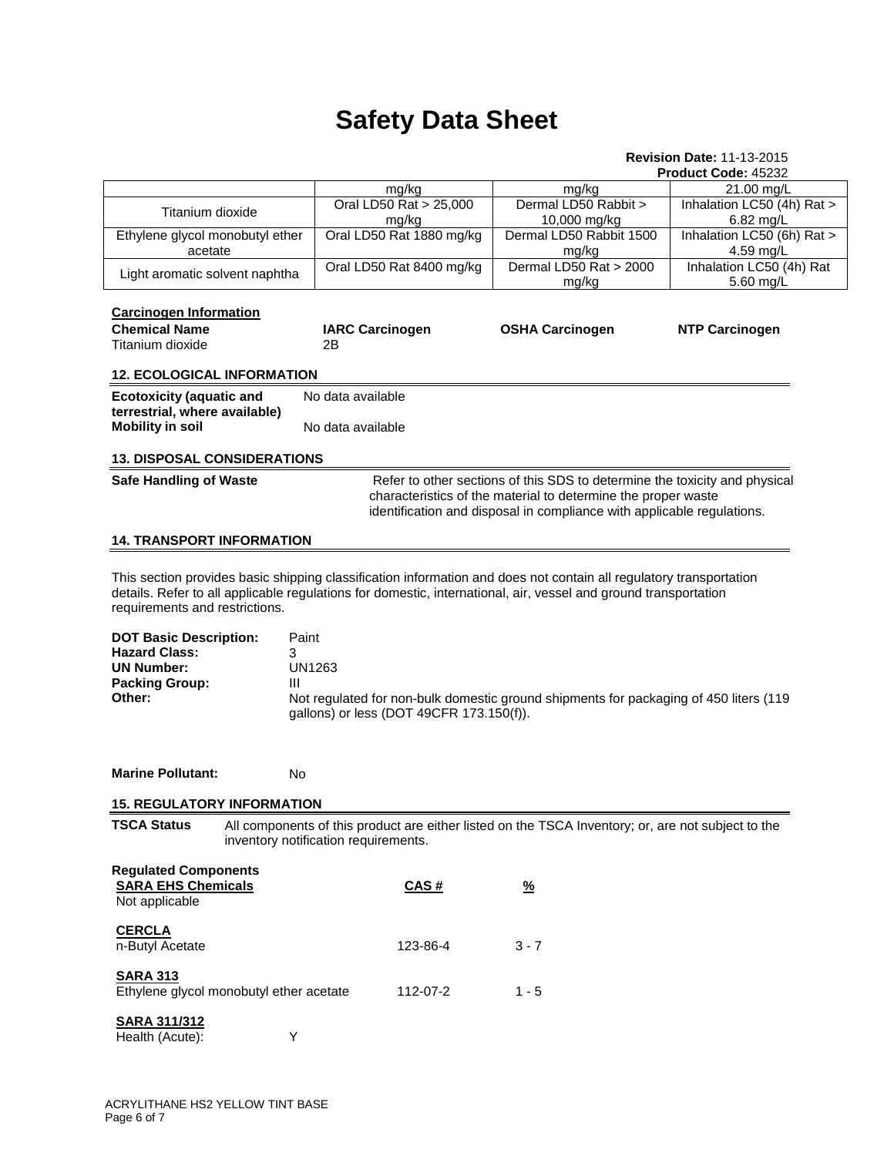#### **Revision Date:** 11-13-2015 **Product Code:** 45232

|                                                                                                                                                                                                                                                                         |                                                                                                                                                             |                                                                            | . .ouuot oouo. <del>.</del> ozoz      |
|-------------------------------------------------------------------------------------------------------------------------------------------------------------------------------------------------------------------------------------------------------------------------|-------------------------------------------------------------------------------------------------------------------------------------------------------------|----------------------------------------------------------------------------|---------------------------------------|
|                                                                                                                                                                                                                                                                         | mg/kg                                                                                                                                                       | mg/kg                                                                      | 21.00 mg/L                            |
| Titanium dioxide                                                                                                                                                                                                                                                        | Oral LD50 Rat > 25,000                                                                                                                                      | Dermal LD50 Rabbit >                                                       | Inhalation LC50 (4h) Rat >            |
|                                                                                                                                                                                                                                                                         | mg/kg                                                                                                                                                       | 10,000 mg/kg                                                               | 6.82 mg/L                             |
| Ethylene glycol monobutyl ether                                                                                                                                                                                                                                         | Oral LD50 Rat 1880 mg/kg                                                                                                                                    | Dermal LD50 Rabbit 1500                                                    | Inhalation LC50 (6h) Rat >            |
| acetate                                                                                                                                                                                                                                                                 |                                                                                                                                                             | mg/kg                                                                      | 4.59 mg/L<br>Inhalation LC50 (4h) Rat |
| Light aromatic solvent naphtha                                                                                                                                                                                                                                          | Oral LD50 Rat 8400 mg/kg                                                                                                                                    | Dermal LD50 Rat > 2000<br>mg/kg                                            | 5.60 mg/L                             |
| <b>Carcinogen Information</b>                                                                                                                                                                                                                                           |                                                                                                                                                             |                                                                            |                                       |
| <b>Chemical Name</b>                                                                                                                                                                                                                                                    | <b>IARC Carcinogen</b>                                                                                                                                      | <b>OSHA Carcinogen</b>                                                     | <b>NTP Carcinogen</b>                 |
| Titanium dioxide                                                                                                                                                                                                                                                        | 2Β                                                                                                                                                          |                                                                            |                                       |
| <b>12. ECOLOGICAL INFORMATION</b>                                                                                                                                                                                                                                       |                                                                                                                                                             |                                                                            |                                       |
| <b>Ecotoxicity (aquatic and</b>                                                                                                                                                                                                                                         | No data available                                                                                                                                           |                                                                            |                                       |
| terrestrial, where available)                                                                                                                                                                                                                                           |                                                                                                                                                             |                                                                            |                                       |
| <b>Mobility in soil</b>                                                                                                                                                                                                                                                 | No data available                                                                                                                                           |                                                                            |                                       |
| <b>13. DISPOSAL CONSIDERATIONS</b>                                                                                                                                                                                                                                      |                                                                                                                                                             |                                                                            |                                       |
| <b>Safe Handling of Waste</b>                                                                                                                                                                                                                                           |                                                                                                                                                             | Refer to other sections of this SDS to determine the toxicity and physical |                                       |
|                                                                                                                                                                                                                                                                         |                                                                                                                                                             | characteristics of the material to determine the proper waste              |                                       |
|                                                                                                                                                                                                                                                                         |                                                                                                                                                             | identification and disposal in compliance with applicable regulations.     |                                       |
|                                                                                                                                                                                                                                                                         |                                                                                                                                                             |                                                                            |                                       |
| <b>14. TRANSPORT INFORMATION</b>                                                                                                                                                                                                                                        |                                                                                                                                                             |                                                                            |                                       |
| This section provides basic shipping classification information and does not contain all regulatory transportation<br>details. Refer to all applicable regulations for domestic, international, air, vessel and ground transportation<br>requirements and restrictions. |                                                                                                                                                             |                                                                            |                                       |
| <b>DOT Basic Description:</b><br><b>Hazard Class:</b><br>3<br><b>UN Number:</b><br><b>Packing Group:</b><br>Ш<br>Other:                                                                                                                                                 | Paint<br><b>UN1263</b><br>Not regulated for non-bulk domestic ground shipments for packaging of 450 liters (119<br>gallons) or less (DOT 49CFR 173.150(f)). |                                                                            |                                       |
| <b>Marine Pollutant:</b><br>No                                                                                                                                                                                                                                          |                                                                                                                                                             |                                                                            |                                       |
|                                                                                                                                                                                                                                                                         |                                                                                                                                                             |                                                                            |                                       |
| <b>15. REGULATORY INFORMATION</b>                                                                                                                                                                                                                                       |                                                                                                                                                             |                                                                            |                                       |
| <b>TSCA Status</b>                                                                                                                                                                                                                                                      | All components of this product are either listed on the TSCA Inventory; or, are not subject to the<br>inventory notification requirements.                  |                                                                            |                                       |
| <b>Regulated Components</b><br><b>SARA EHS Chemicals</b><br>Not applicable                                                                                                                                                                                              | CAS#                                                                                                                                                        | $\frac{9}{6}$                                                              |                                       |
| <b>CERCLA</b><br>n-Butyl Acetate                                                                                                                                                                                                                                        | 123-86-4                                                                                                                                                    | $3 - 7$                                                                    |                                       |
| <b>SARA 313</b><br>Ethylene glycol monobutyl ether acetate                                                                                                                                                                                                              | 112-07-2                                                                                                                                                    | $1 - 5$                                                                    |                                       |
| <b>SARA 311/312</b><br>Health (Acute):<br>Y                                                                                                                                                                                                                             |                                                                                                                                                             |                                                                            |                                       |
|                                                                                                                                                                                                                                                                         |                                                                                                                                                             |                                                                            |                                       |